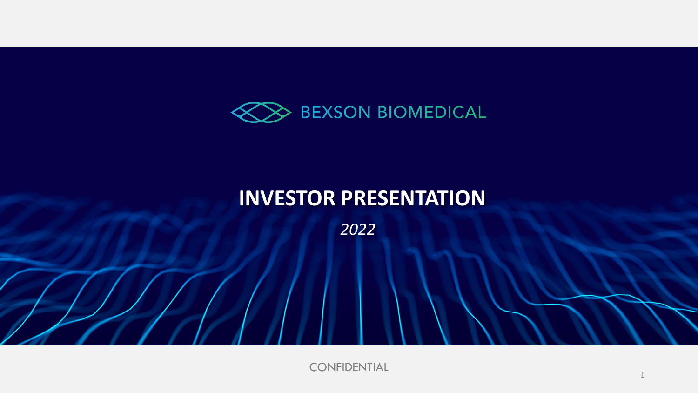

# **INVESTOR PRESENTATION**

*2022*

CONFIDENTIAL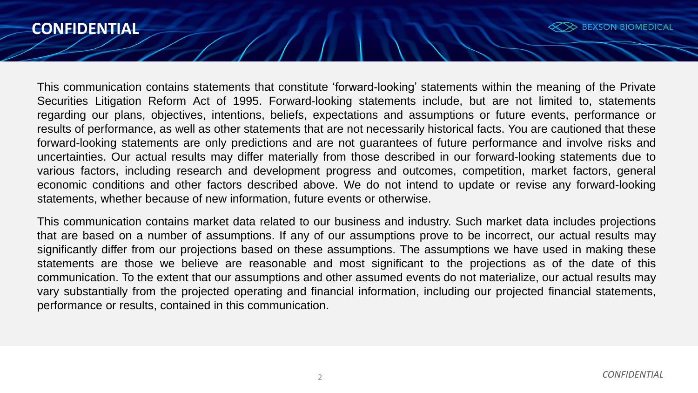#### **CONFIDENTIAL**



This communication contains statements that constitute 'forward-looking' statements within the meaning of the Private Securities Litigation Reform Act of 1995. Forward-looking statements include, but are not limited to, statements regarding our plans, objectives, intentions, beliefs, expectations and assumptions or future events, performance or results of performance, as well as other statements that are not necessarily historical facts. You are cautioned that these forward-looking statements are only predictions and are not guarantees of future performance and involve risks and uncertainties. Our actual results may differ materially from those described in our forward-looking statements due to various factors, including research and development progress and outcomes, competition, market factors, general economic conditions and other factors described above. We do not intend to update or revise any forward-looking statements, whether because of new information, future events or otherwise.

This communication contains market data related to our business and industry. Such market data includes projections that are based on a number of assumptions. If any of our assumptions prove to be incorrect, our actual results may significantly differ from our projections based on these assumptions. The assumptions we have used in making these statements are those we believe are reasonable and most significant to the projections as of the date of this communication. To the extent that our assumptions and other assumed events do not materialize, our actual results may vary substantially from the projected operating and financial information, including our projected financial statements, performance or results, contained in this communication.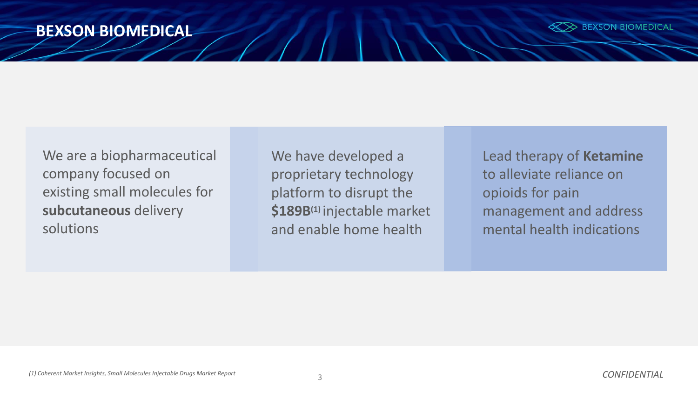#### **BEXSON BIOMEDICAL**



We are a biopharmaceutical company focused on existing small molecules for **subcutaneous** delivery solutions

We have developed a proprietary technology platform to disrupt the **\$189B(1)** injectable market and enable home health

Lead therapy of **Ketamine** to alleviate reliance on opioids for pain management and address mental health indications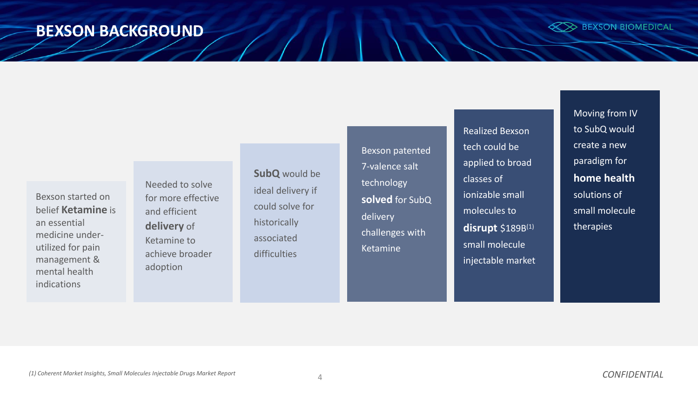#### **BEXSON BACKGROUND**



Bexson started on belief **Ketamine** is an essential medicine underutilized for pain management & mental health indications

Needed to solve for more effective and efficient **delivery** of Ketamine to achieve broader adoption

**SubQ** would be ideal delivery if could solve for historically associated difficulties

Bexson patented 7-valence salt technology **solved** for SubQ delivery challenges with Ketamine

Realized Bexson tech could be applied to broad classes of ionizable small molecules to **disrupt** \$189B(1) small molecule injectable market Moving from IV to SubQ would create a new paradigm for **home health** solutions of small molecule therapies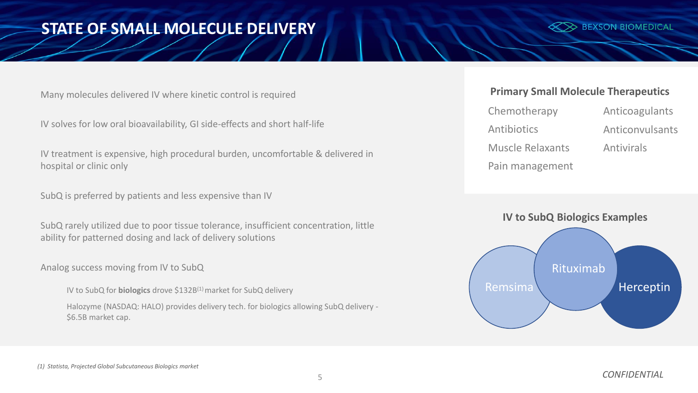### **STATE OF SMALL MOLECULE DELIVERY**

 $\gg$  BEXSON BIOMEDICAL

Many molecules delivered IV where kinetic control is required

IV solves for low oral bioavailability, GI side-effects and short half-life

IV treatment is expensive, high procedural burden, uncomfortable & delivered in hospital or clinic only

SubQ is preferred by patients and less expensive than IV

SubQ rarely utilized due to poor tissue tolerance, insufficient concentration, little ability for patterned dosing and lack of delivery solutions

Analog success moving from IV to SubQ

IV to SubQ for **biologics** drove \$132B(1) market for SubQ delivery

Halozyme (NASDAQ: HALO) provides delivery tech. for biologics allowing SubQ delivery - \$6.5B market cap.

#### **Primary Small Molecule Therapeutics**

| Chemotherapy            | Anticoagulants    |
|-------------------------|-------------------|
| Antibiotics             | Anticonvulsants   |
| <b>Muscle Relaxants</b> | <b>Antivirals</b> |
| Pain management         |                   |



#### *(1) Statista, Projected Global Subcutaneous Biologics market*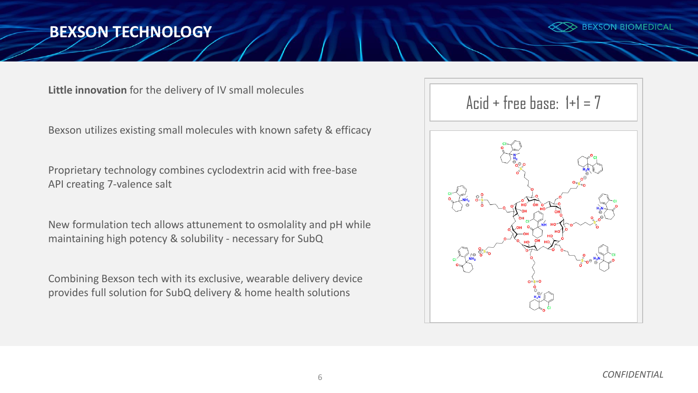### **BEXSON TECHNOLOGY**



**Little innovation** for the delivery of IV small molecules

Bexson utilizes existing small molecules with known safety & efficacy

Proprietary technology combines cyclodextrin acid with free-base API creating 7-valence salt

New formulation tech allows attunement to osmolality and pH while maintaining high potency & solubility - necessary for SubQ

Combining Bexson tech with its exclusive, wearable delivery device provides full solution for SubQ delivery & home health solutions

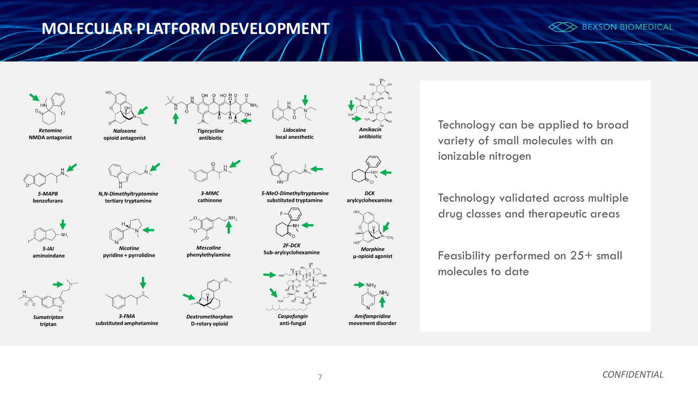## **MOLECULAR PLATFORM DEVELOPMENT**





*Ketamine* **NMDA antagonist**



*5-MAPB* **benzofurans**

*5-IAI* **aminoindane**





*Sumatriptan*





**triptan** 



**opioid antagonist**



*N,N-Dimethyltryptamine* **tertiary tryptamine**



*Mescaline* **phenylethylamine**

*3-MMC* **cathinone**

*Tigecycline* **antibiotic**



*3-FMA*

*Nicotine* **pyridine + pyrrolidine**

**substituted amphetamine**



*Dextromethorphan* **D-rotary opioid**



**local anesthetic**



*5-MeO-Dimethyltryptamine* **substituted tryptamine** 



*2F-DCK* **Sub-arylcyclohexamine**



*Caspofungin* **anti-fungal**



*DCK* **arylcyclohexamine**



*Morphine*



**µ-opioid agonist**





Technology can be applied to broad variety of small molecules with an ionizable nitrogen

Technology validated across multiple drug classes and therapeutic areas

Feasibility performed on 25+ small molecules to date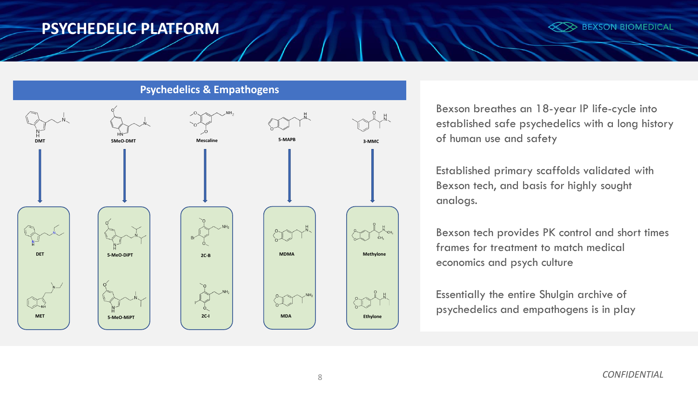#### **PSYCHEDELIC PLATFORM**



**Psychedelics & Empathogens**



Bexson breathes an 18-year IP life-cycle into established safe psychedelics with a long history of human use and safety

Established primary scaffolds validated with Bexson tech, and basis for highly sought analogs.

Bexson tech provides PK control and short times frames for treatment to match medical economics and psych culture

Essentially the entire Shulgin archive of psychedelics and empathogens is in play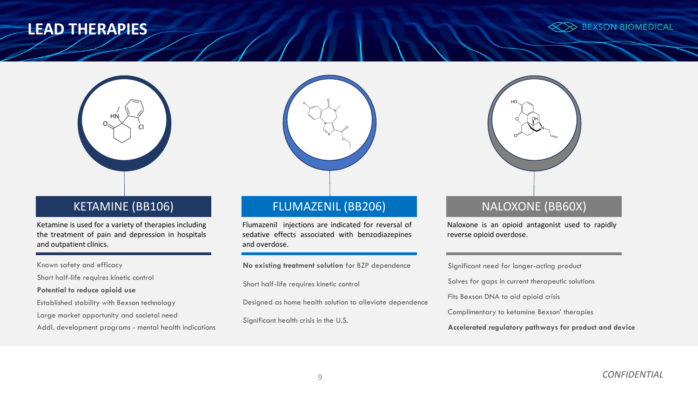#### **LEAD THERAPIES**





#### KETAMINE (BB106)

Ketamine is used for a variety of therapies including the treatment of pain and depression in hospitals and outpatient clinics.

Known safety and efficacy

Short half-life requires kinetic control

**Potential to reduce opioid use**

Established stability with Bexson technology

Large market opportunity and societal need

Addl. development programs - mental health indications



#### FLUMAZENIL (BB206)

Flumazenil injections are indicated for reversal of sedative effects associated with benzodiazepines and overdose.

**No existing treatment solution** for BZP dependence

Short half-life requires kinetic control

Designed as home health solution to alleviate dependence

Significant health crisis in the U.S.



Naloxone is an opioid antagonist used to rapidly reverse opioid overdose.

Significant need for longer-acting product Solves for gaps in current therapeutic solutions Fits Bexson DNA to aid opioid crisis Complimentary to ketamine Bexson' therapies **Accelerated regulatory pathways for product and device**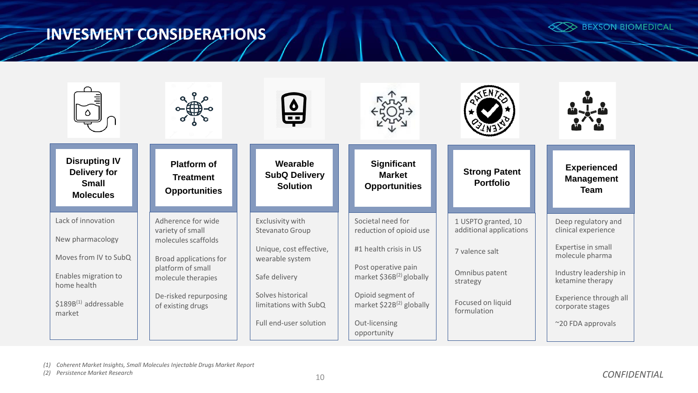## **INVESMENT CONSIDERATIONS**





*(1) Coherent Market Insights, Small Molecules Injectable Drugs Market Report*

*(2) Persistence Market Research* 10